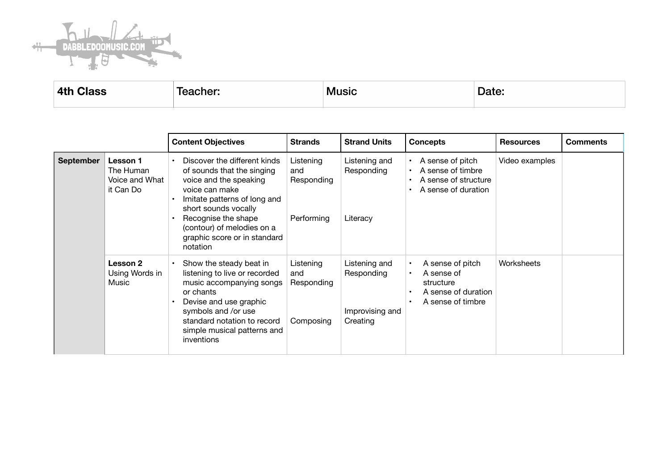

**4th Class Community Teacher:** Music Music Date:

|                  |                                                      | <b>Content Objectives</b>                                                                                                                                                                                                                                       | <b>Strands</b>                               | <b>Strand Units</b>                                        | <b>Concepts</b>                                                                         | <b>Resources</b> | <b>Comments</b> |
|------------------|------------------------------------------------------|-----------------------------------------------------------------------------------------------------------------------------------------------------------------------------------------------------------------------------------------------------------------|----------------------------------------------|------------------------------------------------------------|-----------------------------------------------------------------------------------------|------------------|-----------------|
| <b>September</b> | Lesson 1<br>The Human<br>Voice and What<br>it Can Do | Discover the different kinds<br>of sounds that the singing<br>voice and the speaking<br>voice can make<br>Imitate patterns of long and<br>short sounds vocally<br>Recognise the shape<br>(contour) of melodies on a<br>graphic score or in standard<br>notation | Listening<br>and<br>Responding<br>Performing | Listening and<br>Responding<br>Literacy                    | A sense of pitch<br>A sense of timbre<br>A sense of structure<br>A sense of duration    | Video examples   |                 |
|                  | Lesson 2<br>Using Words in<br>Music                  | Show the steady beat in<br>$\bullet$<br>listening to live or recorded<br>music accompanying songs<br>or chants<br>Devise and use graphic<br>symbols and /or use<br>standard notation to record<br>simple musical patterns and<br>inventions                     | Listening<br>and<br>Responding<br>Composing  | Listening and<br>Responding<br>Improvising and<br>Creating | A sense of pitch<br>A sense of<br>structure<br>A sense of duration<br>A sense of timbre | Worksheets       |                 |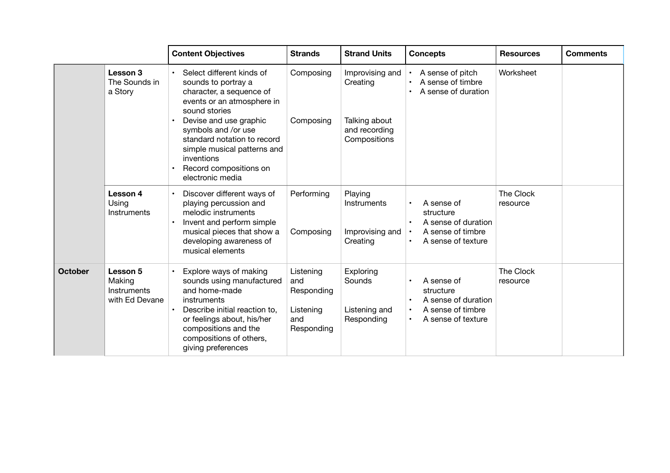|                |                                                     | <b>Content Objectives</b>                                                                                                                                                                                                                                                                              | <b>Strands</b>                                                   | <b>Strand Units</b>                                                           | <b>Concepts</b>                                                                           | <b>Resources</b>      | <b>Comments</b> |
|----------------|-----------------------------------------------------|--------------------------------------------------------------------------------------------------------------------------------------------------------------------------------------------------------------------------------------------------------------------------------------------------------|------------------------------------------------------------------|-------------------------------------------------------------------------------|-------------------------------------------------------------------------------------------|-----------------------|-----------------|
|                | Lesson 3<br>The Sounds in<br>a Story                | Select different kinds of<br>sounds to portray a<br>character, a sequence of<br>events or an atmosphere in<br>sound stories<br>Devise and use graphic<br>symbols and /or use<br>standard notation to record<br>simple musical patterns and<br>inventions<br>Record compositions on<br>electronic media | Composing<br>Composing                                           | Improvising and<br>Creating<br>Talking about<br>and recording<br>Compositions | A sense of pitch<br>A sense of timbre<br>A sense of duration                              | Worksheet             |                 |
|                | Lesson 4<br>Using<br>Instruments                    | Discover different ways of<br>playing percussion and<br>melodic instruments<br>Invent and perform simple<br>musical pieces that show a<br>developing awareness of<br>musical elements                                                                                                                  | Performing<br>Composing                                          | Playing<br>Instruments<br>Improvising and<br>Creating                         | A sense of<br>structure<br>A sense of duration<br>A sense of timbre<br>A sense of texture | The Clock<br>resource |                 |
| <b>October</b> | Lesson 5<br>Making<br>Instruments<br>with Ed Devane | Explore ways of making<br>sounds using manufactured<br>and home-made<br>instruments<br>Describe initial reaction to,<br>or feelings about, his/her<br>compositions and the<br>compositions of others,<br>giving preferences                                                                            | Listening<br>and<br>Responding<br>Listening<br>and<br>Responding | Exploring<br>Sounds<br>Listening and<br>Responding                            | A sense of<br>structure<br>A sense of duration<br>A sense of timbre<br>A sense of texture | The Clock<br>resource |                 |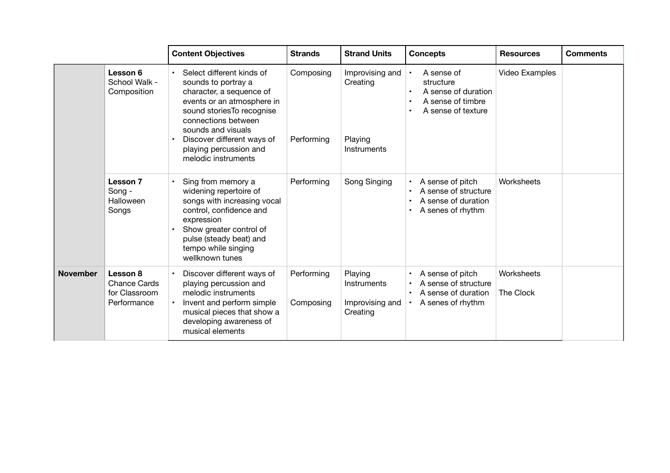|                 |                                                          | <b>Content Objectives</b>                                                                                                                                                                                                                                            | <b>Strands</b>          | <b>Strand Units</b>                                   | <b>Concepts</b>                                                                           | <b>Resources</b>        | <b>Comments</b> |
|-----------------|----------------------------------------------------------|----------------------------------------------------------------------------------------------------------------------------------------------------------------------------------------------------------------------------------------------------------------------|-------------------------|-------------------------------------------------------|-------------------------------------------------------------------------------------------|-------------------------|-----------------|
|                 | Lesson 6<br>School Walk -<br>Composition                 | Select different kinds of<br>sounds to portray a<br>character, a sequence of<br>events or an atmosphere in<br>sound stories To recognise<br>connections between<br>sounds and visuals<br>Discover different ways of<br>playing percussion and<br>melodic instruments | Composing<br>Performing | Improvising and<br>Creating<br>Playing<br>Instruments | A sense of<br>structure<br>A sense of duration<br>A sense of timbre<br>A sense of texture | Video Examples          |                 |
|                 | <b>Lesson 7</b><br>Song -<br>Halloween<br>Songs          | Sing from memory a<br>widening repertoire of<br>songs with increasing vocal<br>control, confidence and<br>expression<br>Show greater control of<br>pulse (steady beat) and<br>tempo while singing<br>wellknown tunes                                                 | Performing              | Song Singing                                          | A sense of pitch<br>A sense of structure<br>A sense of duration<br>A senes of rhythm      | Worksheets              |                 |
| <b>November</b> | Lesson 8<br>Chance Cards<br>for Classroom<br>Performance | Discover different ways of<br>playing percussion and<br>melodic instruments<br>Invent and perform simple<br>musical pieces that show a<br>developing awareness of<br>musical elements                                                                                | Performing<br>Composing | Playing<br>Instruments<br>Improvising and<br>Creating | A sense of pitch<br>A sense of structure<br>A sense of duration<br>A senes of rhythm      | Worksheets<br>The Clock |                 |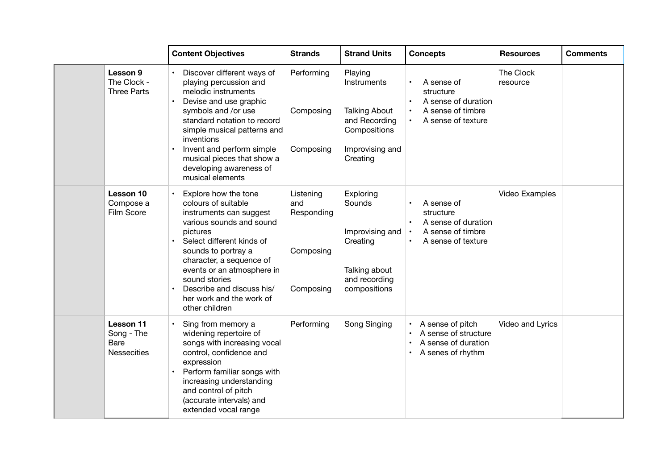|                                                       | <b>Content Objectives</b>                                                                                                                                                                                                                                                                                                | <b>Strands</b>                                           | <b>Strand Units</b>                                                                                            | <b>Concepts</b>                                                                           | <b>Resources</b>      | <b>Comments</b> |
|-------------------------------------------------------|--------------------------------------------------------------------------------------------------------------------------------------------------------------------------------------------------------------------------------------------------------------------------------------------------------------------------|----------------------------------------------------------|----------------------------------------------------------------------------------------------------------------|-------------------------------------------------------------------------------------------|-----------------------|-----------------|
| Lesson 9<br>The Clock -<br><b>Three Parts</b>         | Discover different ways of<br>playing percussion and<br>melodic instruments<br>Devise and use graphic<br>symbols and /or use<br>standard notation to record<br>simple musical patterns and<br>inventions<br>Invent and perform simple<br>musical pieces that show a<br>developing awareness of<br>musical elements       | Performing<br>Composing<br>Composing                     | Playing<br>Instruments<br><b>Talking About</b><br>and Recording<br>Compositions<br>Improvising and<br>Creating | A sense of<br>structure<br>A sense of duration<br>A sense of timbre<br>A sense of texture | The Clock<br>resource |                 |
| Lesson 10<br>Compose a<br>Film Score                  | Explore how the tone<br>colours of suitable<br>instruments can suggest<br>various sounds and sound<br>pictures<br>Select different kinds of<br>sounds to portray a<br>character, a sequence of<br>events or an atmosphere in<br>sound stories<br>Describe and discuss his/<br>her work and the work of<br>other children | Listening<br>and<br>Responding<br>Composing<br>Composing | Exploring<br>Sounds<br>Improvising and<br>Creating<br>Talking about<br>and recording<br>compositions           | A sense of<br>structure<br>A sense of duration<br>A sense of timbre<br>A sense of texture | Video Examples        |                 |
| Lesson 11<br>Song - The<br>Bare<br><b>Nessecities</b> | Sing from memory a<br>widening repertoire of<br>songs with increasing vocal<br>control, confidence and<br>expression<br>Perform familiar songs with<br>increasing understanding<br>and control of pitch<br>(accurate intervals) and<br>extended vocal range                                                              | Performing                                               | Song Singing                                                                                                   | A sense of pitch<br>A sense of structure<br>A sense of duration<br>A senes of rhythm      | Video and Lyrics      |                 |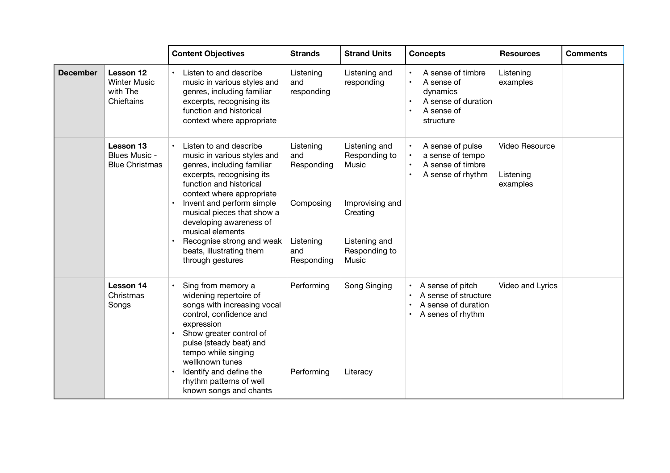|                 |                                                                   | <b>Content Objectives</b>                                                                                                                                                                                                                                                                                                                                       | <b>Strands</b>                                                                | <b>Strand Units</b>                                                                                               | <b>Concepts</b>                                                                               | <b>Resources</b>                        | <b>Comments</b> |
|-----------------|-------------------------------------------------------------------|-----------------------------------------------------------------------------------------------------------------------------------------------------------------------------------------------------------------------------------------------------------------------------------------------------------------------------------------------------------------|-------------------------------------------------------------------------------|-------------------------------------------------------------------------------------------------------------------|-----------------------------------------------------------------------------------------------|-----------------------------------------|-----------------|
| <b>December</b> | <b>Lesson 12</b><br><b>Winter Music</b><br>with The<br>Chieftains | Listen to and describe<br>music in various styles and<br>genres, including familiar<br>excerpts, recognising its<br>function and historical<br>context where appropriate                                                                                                                                                                                        | Listening<br>and<br>responding                                                | Listening and<br>responding                                                                                       | A sense of timbre<br>A sense of<br>dynamics<br>A sense of duration<br>A sense of<br>structure | Listening<br>examples                   |                 |
|                 | Lesson 13<br>Blues Music -<br><b>Blue Christmas</b>               | Listen to and describe<br>music in various styles and<br>genres, including familiar<br>excerpts, recognising its<br>function and historical<br>context where appropriate<br>Invent and perform simple<br>musical pieces that show a<br>developing awareness of<br>musical elements<br>Recognise strong and weak<br>beats, illustrating them<br>through gestures | Listening<br>and<br>Responding<br>Composing<br>Listening<br>and<br>Responding | Listening and<br>Responding to<br>Music<br>Improvising and<br>Creating<br>Listening and<br>Responding to<br>Music | A sense of pulse<br>a sense of tempo<br>A sense of timbre<br>A sense of rhythm                | Video Resource<br>Listening<br>examples |                 |
|                 | Lesson 14<br>Christmas<br>Songs                                   | Sing from memory a<br>widening repertoire of<br>songs with increasing vocal<br>control, confidence and<br>expression<br>Show greater control of<br>pulse (steady beat) and<br>tempo while singing<br>wellknown tunes<br>Identify and define the<br>rhythm patterns of well<br>known songs and chants                                                            | Performing<br>Performing                                                      | Song Singing<br>Literacy                                                                                          | A sense of pitch<br>A sense of structure<br>A sense of duration<br>A senes of rhythm          | Video and Lyrics                        |                 |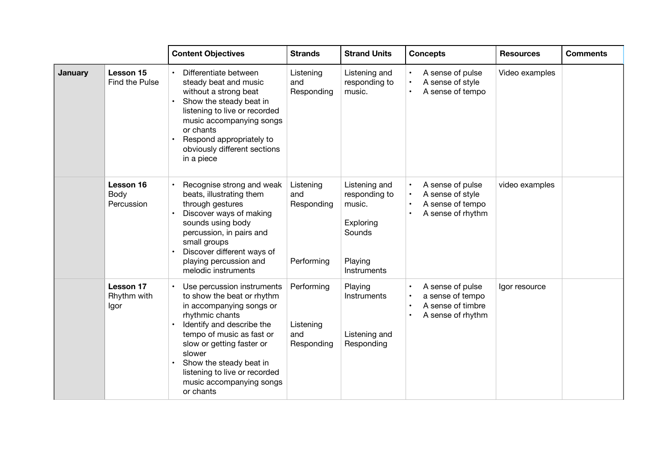|                |                                         | <b>Content Objectives</b>                                                                                                                                                                                                                                                                                     | <b>Strands</b>                               | <b>Strand Units</b>                                                                              | <b>Concepts</b>                                                                            | <b>Resources</b> | <b>Comments</b> |
|----------------|-----------------------------------------|---------------------------------------------------------------------------------------------------------------------------------------------------------------------------------------------------------------------------------------------------------------------------------------------------------------|----------------------------------------------|--------------------------------------------------------------------------------------------------|--------------------------------------------------------------------------------------------|------------------|-----------------|
| <b>January</b> | Lesson 15<br>Find the Pulse             | Differentiate between<br>steady beat and music<br>without a strong beat<br>Show the steady beat in<br>listening to live or recorded<br>music accompanying songs<br>or chants<br>Respond appropriately to<br>obviously different sections<br>in a piece                                                        | Listening<br>and<br>Responding               | Listening and<br>responding to<br>music.                                                         | A sense of pulse<br>A sense of style<br>A sense of tempo                                   | Video examples   |                 |
|                | Lesson 16<br>Body<br>Percussion         | Recognise strong and weak<br>beats, illustrating them<br>through gestures<br>Discover ways of making<br>sounds using body<br>percussion, in pairs and<br>small groups<br>Discover different ways of<br>playing percussion and<br>melodic instruments                                                          | Listening<br>and<br>Responding<br>Performing | Listening and<br>responding to<br>music.<br>Exploring<br>Sounds<br>Playing<br><b>Instruments</b> | A sense of pulse<br>A sense of style<br>A sense of tempo<br>$\bullet$<br>A sense of rhythm | video examples   |                 |
|                | <b>Lesson 17</b><br>Rhythm with<br>Igor | Use percussion instruments<br>to show the beat or rhythm<br>in accompanying songs or<br>rhythmic chants<br>Identify and describe the<br>tempo of music as fast or<br>slow or getting faster or<br>slower<br>Show the steady beat in<br>listening to live or recorded<br>music accompanying songs<br>or chants | Performing<br>Listening<br>and<br>Responding | Playing<br><b>Instruments</b><br>Listening and<br>Responding                                     | A sense of pulse<br>a sense of tempo<br>A sense of timbre<br>A sense of rhythm             | Igor resource    |                 |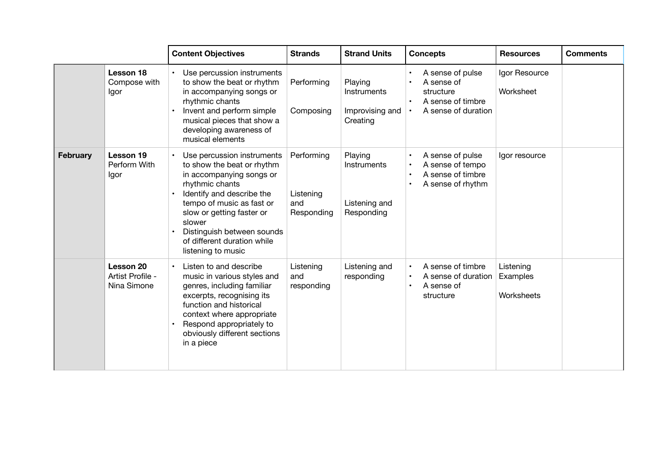|                 |                                              | <b>Content Objectives</b>                                                                                                                                                                                                                                                                   | <b>Strands</b>                               | <b>Strand Units</b>                                   | <b>Concepts</b>                                                                         | <b>Resources</b>                    | <b>Comments</b> |
|-----------------|----------------------------------------------|---------------------------------------------------------------------------------------------------------------------------------------------------------------------------------------------------------------------------------------------------------------------------------------------|----------------------------------------------|-------------------------------------------------------|-----------------------------------------------------------------------------------------|-------------------------------------|-----------------|
|                 | Lesson 18<br>Compose with<br>Igor            | Use percussion instruments<br>to show the beat or rhythm<br>in accompanying songs or<br>rhythmic chants<br>Invent and perform simple<br>musical pieces that show a<br>developing awareness of<br>musical elements                                                                           | Performing<br>Composing                      | Playing<br>Instruments<br>Improvising and<br>Creating | A sense of pulse<br>A sense of<br>structure<br>A sense of timbre<br>A sense of duration | Igor Resource<br>Worksheet          |                 |
| <b>February</b> | Lesson 19<br>Perform With<br>Igor            | Use percussion instruments<br>to show the beat or rhythm<br>in accompanying songs or<br>rhythmic chants<br>Identify and describe the<br>tempo of music as fast or<br>slow or getting faster or<br>slower<br>Distinguish between sounds<br>of different duration while<br>listening to music | Performing<br>Listening<br>and<br>Responding | Playing<br>Instruments<br>Listening and<br>Responding | A sense of pulse<br>A sense of tempo<br>A sense of timbre<br>A sense of rhythm          | Igor resource                       |                 |
|                 | Lesson 20<br>Artist Profile -<br>Nina Simone | Listen to and describe<br>music in various styles and<br>genres, including familiar<br>excerpts, recognising its<br>function and historical<br>context where appropriate<br>Respond appropriately to<br>obviously different sections<br>in a piece                                          | Listening<br>and<br>responding               | Listening and<br>responding                           | A sense of timbre<br>A sense of duration<br>A sense of<br>structure                     | Listening<br>Examples<br>Worksheets |                 |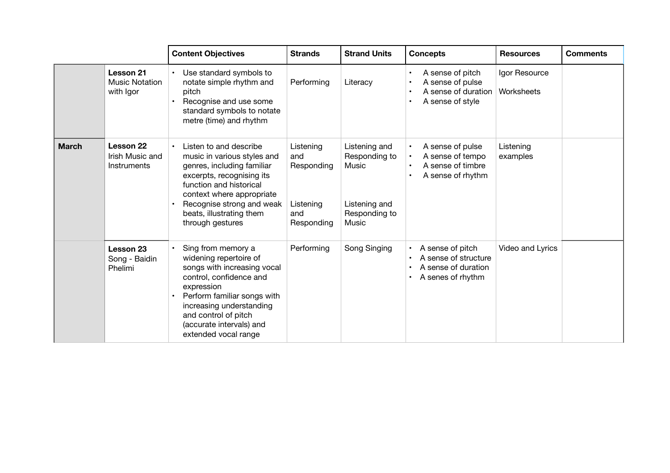|              |                                                 | <b>Content Objectives</b>                                                                                                                                                                                                                                   | <b>Strands</b>                                                   | <b>Strand Units</b>                                                                | <b>Concepts</b>                                                                      | <b>Resources</b>            | <b>Comments</b> |
|--------------|-------------------------------------------------|-------------------------------------------------------------------------------------------------------------------------------------------------------------------------------------------------------------------------------------------------------------|------------------------------------------------------------------|------------------------------------------------------------------------------------|--------------------------------------------------------------------------------------|-----------------------------|-----------------|
|              | Lesson 21<br><b>Music Notation</b><br>with Igor | Use standard symbols to<br>notate simple rhythm and<br>pitch<br>Recognise and use some<br>standard symbols to notate<br>metre (time) and rhythm                                                                                                             | Performing                                                       | Literacy                                                                           | A sense of pitch<br>A sense of pulse<br>A sense of duration<br>A sense of style      | Igor Resource<br>Worksheets |                 |
| <b>March</b> | Lesson 22<br>Irish Music and<br>Instruments     | Listen to and describe<br>music in various styles and<br>genres, including familiar<br>excerpts, recognising its<br>function and historical<br>context where appropriate<br>Recognise strong and weak<br>beats, illustrating them<br>through gestures       | Listening<br>and<br>Responding<br>Listening<br>and<br>Responding | Listening and<br>Responding to<br>Music<br>Listening and<br>Responding to<br>Music | A sense of pulse<br>A sense of tempo<br>A sense of timbre<br>A sense of rhythm       | Listening<br>examples       |                 |
|              | Lesson 23<br>Song - Baidin<br>Phelimi           | Sing from memory a<br>widening repertoire of<br>songs with increasing vocal<br>control, confidence and<br>expression<br>Perform familiar songs with<br>increasing understanding<br>and control of pitch<br>(accurate intervals) and<br>extended vocal range | Performing                                                       | Song Singing                                                                       | A sense of pitch<br>A sense of structure<br>A sense of duration<br>A senes of rhythm | Video and Lyrics            |                 |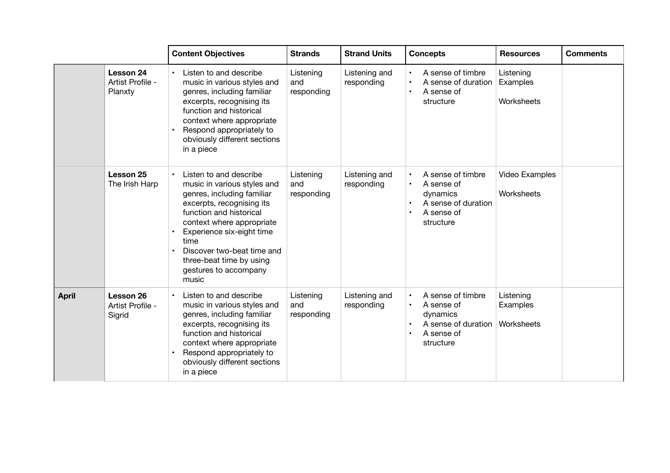|              |                                          | <b>Content Objectives</b>                                                                                                                                                                                                                                                                                              | <b>Strands</b>                 | <b>Strand Units</b>         | <b>Concepts</b>                                                                               | <b>Resources</b>                    | <b>Comments</b> |
|--------------|------------------------------------------|------------------------------------------------------------------------------------------------------------------------------------------------------------------------------------------------------------------------------------------------------------------------------------------------------------------------|--------------------------------|-----------------------------|-----------------------------------------------------------------------------------------------|-------------------------------------|-----------------|
|              | Lesson 24<br>Artist Profile -<br>Planxty | Listen to and describe<br>$\bullet$<br>music in various styles and<br>genres, including familiar<br>excerpts, recognising its<br>function and historical<br>context where appropriate<br>Respond appropriately to<br>obviously different sections<br>in a piece                                                        | Listening<br>and<br>responding | Listening and<br>responding | A sense of timbre<br>A sense of duration<br>A sense of<br>structure                           | Listening<br>Examples<br>Worksheets |                 |
|              | Lesson 25<br>The Irish Harp              | Listen to and describe<br>music in various styles and<br>genres, including familiar<br>excerpts, recognising its<br>function and historical<br>context where appropriate<br>Experience six-eight time<br>$\bullet$<br>time<br>Discover two-beat time and<br>three-beat time by using<br>gestures to accompany<br>music | Listening<br>and<br>responding | Listening and<br>responding | A sense of timbre<br>A sense of<br>dynamics<br>A sense of duration<br>A sense of<br>structure | Video Examples<br>Worksheets        |                 |
| <b>April</b> | Lesson 26<br>Artist Profile -<br>Sigrid  | Listen to and describe<br>music in various styles and<br>genres, including familiar<br>excerpts, recognising its<br>function and historical<br>context where appropriate<br>Respond appropriately to<br>obviously different sections<br>in a piece                                                                     | Listening<br>and<br>responding | Listening and<br>responding | A sense of timbre<br>A sense of<br>dynamics<br>A sense of duration<br>A sense of<br>structure | Listening<br>Examples<br>Worksheets |                 |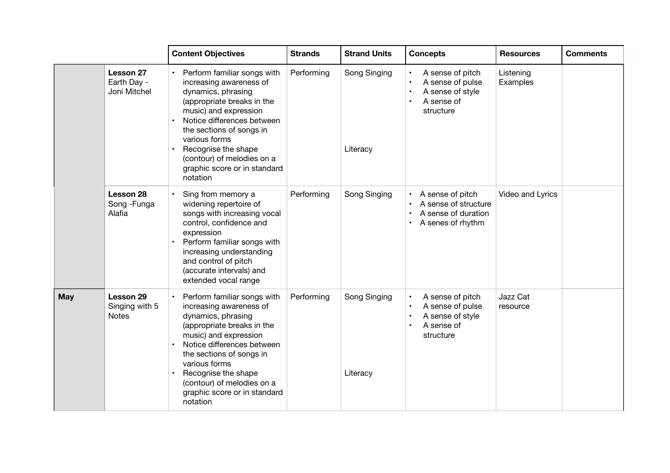|            |                                             | <b>Content Objectives</b>                                                                                                                                                                                                                                                                                         | <b>Strands</b> | <b>Strand Units</b>      | <b>Concepts</b>                                                                      | <b>Resources</b>      | <b>Comments</b> |
|------------|---------------------------------------------|-------------------------------------------------------------------------------------------------------------------------------------------------------------------------------------------------------------------------------------------------------------------------------------------------------------------|----------------|--------------------------|--------------------------------------------------------------------------------------|-----------------------|-----------------|
|            | Lesson 27<br>Earth Day -<br>Joni Mitchel    | • Perform familiar songs with<br>increasing awareness of<br>dynamics, phrasing<br>(appropriate breaks in the<br>music) and expression<br>Notice differences between<br>the sections of songs in<br>various forms<br>Recognise the shape<br>(contour) of melodies on a<br>graphic score or in standard<br>notation | Performing     | Song Singing<br>Literacy | A sense of pitch<br>A sense of pulse<br>A sense of style<br>A sense of<br>structure  | Listening<br>Examples |                 |
|            | Lesson 28<br>Song - Funga<br>Alafia         | Sing from memory a<br>widening repertoire of<br>songs with increasing vocal<br>control, confidence and<br>expression<br>Perform familiar songs with<br>increasing understanding<br>and control of pitch<br>(accurate intervals) and<br>extended vocal range                                                       | Performing     | Song Singing             | A sense of pitch<br>A sense of structure<br>A sense of duration<br>A senes of rhythm | Video and Lyrics      |                 |
| <b>May</b> | Lesson 29<br>Singing with 5<br><b>Notes</b> | Perform familiar songs with<br>increasing awareness of<br>dynamics, phrasing<br>(appropriate breaks in the<br>music) and expression<br>Notice differences between<br>the sections of songs in<br>various forms<br>Recognise the shape<br>(contour) of melodies on a<br>graphic score or in standard<br>notation   | Performing     | Song Singing<br>Literacy | A sense of pitch<br>A sense of pulse<br>A sense of style<br>A sense of<br>structure  | Jazz Cat<br>resource  |                 |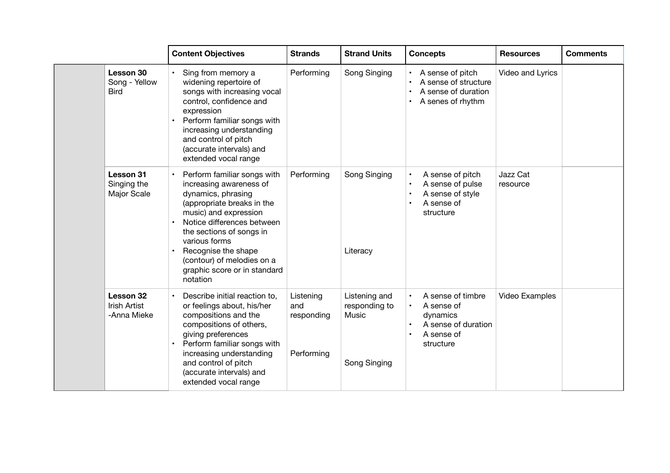|                                           | <b>Content Objectives</b>                                                                                                                                                                                                                                                                                       | <b>Strands</b>                               | <b>Strand Units</b>                                     | <b>Concepts</b>                                                                               | <b>Resources</b>     | <b>Comments</b> |
|-------------------------------------------|-----------------------------------------------------------------------------------------------------------------------------------------------------------------------------------------------------------------------------------------------------------------------------------------------------------------|----------------------------------------------|---------------------------------------------------------|-----------------------------------------------------------------------------------------------|----------------------|-----------------|
| Lesson 30<br>Song - Yellow<br><b>Bird</b> | Sing from memory a<br>widening repertoire of<br>songs with increasing vocal<br>control, confidence and<br>expression<br>Perform familiar songs with<br>increasing understanding<br>and control of pitch<br>(accurate intervals) and<br>extended vocal range                                                     | Performing                                   | Song Singing                                            | A sense of pitch<br>A sense of structure<br>A sense of duration<br>A senes of rhythm          | Video and Lyrics     |                 |
| Lesson 31<br>Singing the<br>Major Scale   | Perform familiar songs with<br>increasing awareness of<br>dynamics, phrasing<br>(appropriate breaks in the<br>music) and expression<br>Notice differences between<br>the sections of songs in<br>various forms<br>Recognise the shape<br>(contour) of melodies on a<br>graphic score or in standard<br>notation | Performing                                   | Song Singing<br>Literacy                                | A sense of pitch<br>A sense of pulse<br>A sense of style<br>A sense of<br>structure           | Jazz Cat<br>resource |                 |
| Lesson 32<br>Irish Artist<br>-Anna Mieke  | Describe initial reaction to,<br>or feelings about, his/her<br>compositions and the<br>compositions of others,<br>giving preferences<br>Perform familiar songs with<br>increasing understanding<br>and control of pitch<br>(accurate intervals) and<br>extended vocal range                                     | Listening<br>and<br>responding<br>Performing | Listening and<br>responding to<br>Music<br>Song Singing | A sense of timbre<br>A sense of<br>dynamics<br>A sense of duration<br>A sense of<br>structure | Video Examples       |                 |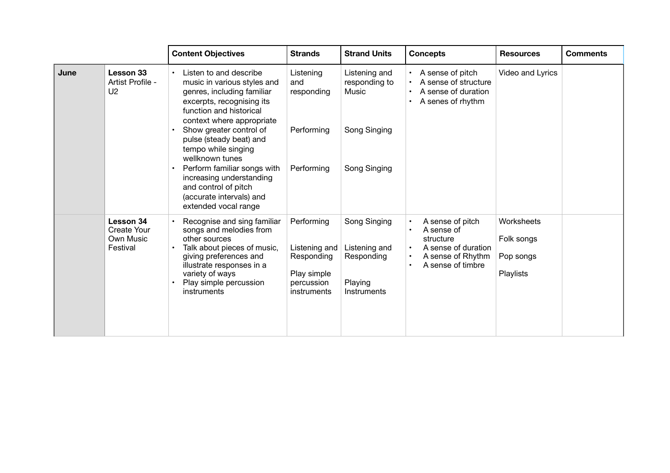|      |                                                          | <b>Content Objectives</b>                                                                                                                                                                                                           | <b>Strands</b>                                                                        | <b>Strand Units</b>                                                   | <b>Concepts</b>                                                                                              | <b>Resources</b>                                   | <b>Comments</b> |
|------|----------------------------------------------------------|-------------------------------------------------------------------------------------------------------------------------------------------------------------------------------------------------------------------------------------|---------------------------------------------------------------------------------------|-----------------------------------------------------------------------|--------------------------------------------------------------------------------------------------------------|----------------------------------------------------|-----------------|
| June | Lesson 33<br>Artist Profile -<br>U <sub>2</sub>          | Listen to and describe<br>music in various styles and<br>genres, including familiar<br>excerpts, recognising its<br>function and historical<br>context where appropriate                                                            | Listening<br>and<br>responding                                                        | Listening and<br>responding to<br>Music                               | A sense of pitch<br>A sense of structure<br>A sense of duration<br>A senes of rhythm                         | Video and Lyrics                                   |                 |
|      |                                                          | Show greater control of<br>pulse (steady beat) and<br>tempo while singing<br>wellknown tunes<br>Perform familiar songs with<br>increasing understanding<br>and control of pitch<br>(accurate intervals) and<br>extended vocal range | Performing<br>Performing                                                              | Song Singing<br>Song Singing                                          |                                                                                                              |                                                    |                 |
|      | Lesson 34<br><b>Create Your</b><br>Own Music<br>Festival | Recognise and sing familiar<br>songs and melodies from<br>other sources<br>Talk about pieces of music,<br>giving preferences and<br>illustrate responses in a<br>variety of ways<br>Play simple percussion<br>instruments           | Performing<br>Listening and<br>Responding<br>Play simple<br>percussion<br>instruments | Song Singing<br>Listening and<br>Responding<br>Playing<br>Instruments | A sense of pitch<br>A sense of<br>structure<br>A sense of duration<br>A sense of Rhythm<br>A sense of timbre | Worksheets<br>Folk songs<br>Pop songs<br>Playlists |                 |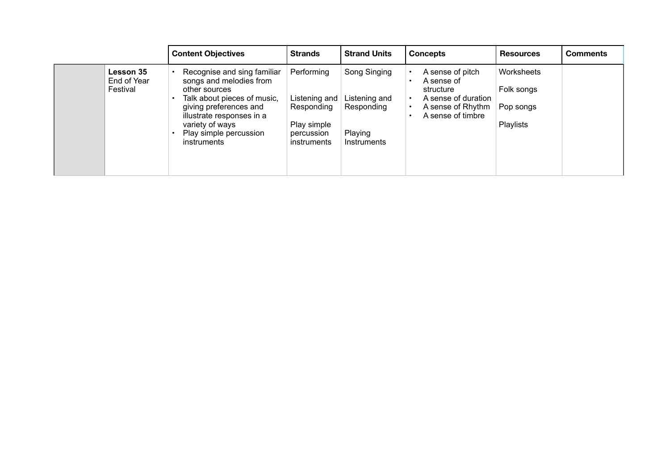|                                      | <b>Content Objectives</b>                                                                                                                                                                                                 | <b>Strands</b>                                                                        | <b>Strand Units</b>                                                   | <b>Concepts</b>                                                                                              | <b>Resources</b>                                   | <b>Comments</b> |
|--------------------------------------|---------------------------------------------------------------------------------------------------------------------------------------------------------------------------------------------------------------------------|---------------------------------------------------------------------------------------|-----------------------------------------------------------------------|--------------------------------------------------------------------------------------------------------------|----------------------------------------------------|-----------------|
| Lesson 35<br>End of Year<br>Festival | Recognise and sing familiar<br>songs and melodies from<br>other sources<br>Talk about pieces of music,<br>giving preferences and<br>illustrate responses in a<br>variety of ways<br>Play simple percussion<br>instruments | Performing<br>Listening and<br>Responding<br>Play simple<br>percussion<br>instruments | Song Singing<br>Listening and<br>Responding<br>Playing<br>Instruments | A sense of pitch<br>A sense of<br>structure<br>A sense of duration<br>A sense of Rhythm<br>A sense of timbre | Worksheets<br>Folk songs<br>Pop songs<br>Playlists |                 |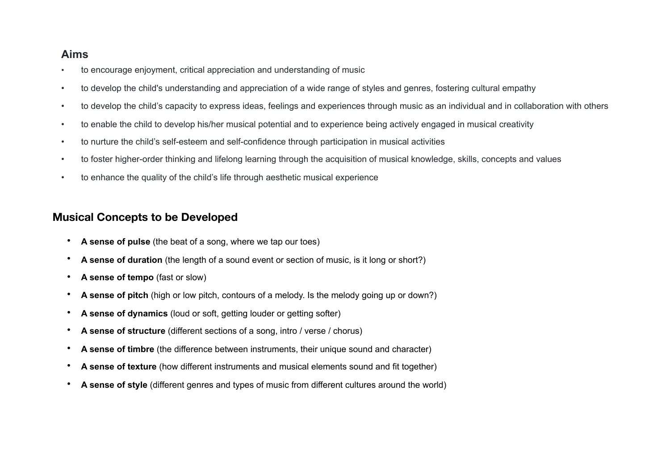# **Aims**

- to encourage enjoyment, critical appreciation and understanding of music
- to develop the child's understanding and appreciation of a wide range of styles and genres, fostering cultural empathy
- to develop the child's capacity to express ideas, feelings and experiences through music as an individual and in collaboration with others
- to enable the child to develop his/her musical potential and to experience being actively engaged in musical creativity
- to nurture the child's self-esteem and self-confidence through participation in musical activities
- to foster higher-order thinking and lifelong learning through the acquisition of musical knowledge, skills, concepts and values
- to enhance the quality of the child's life through aesthetic musical experience

# **Musical Concepts to be Developed**

- **A sense of pulse** (the beat of a song, where we tap our toes)
- **A sense of duration** (the length of a sound event or section of music, is it long or short?)
- **A sense of tempo** (fast or slow)
- **A sense of pitch** (high or low pitch, contours of a melody. Is the melody going up or down?)
- **A sense of dynamics** (loud or soft, getting louder or getting softer)
- **A sense of structure** (different sections of a song, intro / verse / chorus)
- **A sense of timbre** (the difference between instruments, their unique sound and character)
- **A sense of texture** (how different instruments and musical elements sound and fit together)
- **A sense of style** (different genres and types of music from different cultures around the world)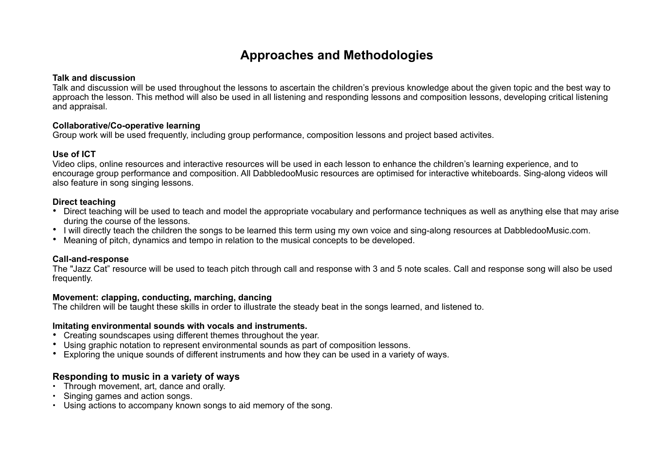# **Approaches and Methodologies**

#### **Talk and discussion**

Talk and discussion will be used throughout the lessons to ascertain the children's previous knowledge about the given topic and the best way to approach the lesson. This method will also be used in all listening and responding lessons and composition lessons, developing critical listening and appraisal.

### **Collaborative/Co-operative learning**

Group work will be used frequently, including group performance, composition lessons and project based activites.

# **Use of ICT**

Video clips, online resources and interactive resources will be used in each lesson to enhance the children's learning experience, and to encourage group performance and composition. All DabbledooMusic resources are optimised for interactive whiteboards. Sing-along videos will also feature in song singing lessons.

# **Direct teaching**

- Direct teaching will be used to teach and model the appropriate vocabulary and performance techniques as well as anything else that may arise during the course of the lessons.
- I will directly teach the children the songs to be learned this term using my own voice and sing-along resources at DabbledooMusic.com.
- Meaning of pitch, dynamics and tempo in relation to the musical concepts to be developed.

# **Call-and-response**

The "Jazz Cat" resource will be used to teach pitch through call and response with 3 and 5 note scales. Call and response song will also be used frequently.

# **Movement:** *c***lapping, conducting, marching, dancing**

The children will be taught these skills in order to illustrate the steady beat in the songs learned, and listened to.

# **Imitating environmental sounds with vocals and instruments.**

- Creating soundscapes using different themes throughout the year.
- Using graphic notation to represent environmental sounds as part of composition lessons.
- Exploring the unique sounds of different instruments and how they can be used in a variety of ways.

# **Responding to music in a variety of ways**

- Through movement, art, dance and orally.
- Singing games and action songs.
- Using actions to accompany known songs to aid memory of the song.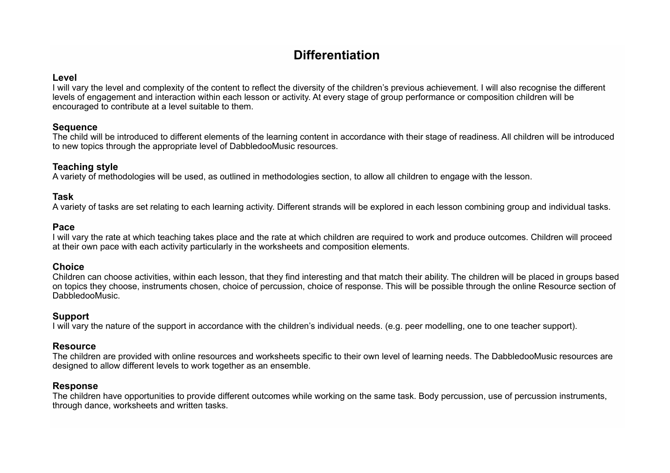# **Differentiation**

Level<br>I will vary the level and complexity of the content to reflect the diversity of the children's previous achievement. I will also recognise the different levels of engagement and interaction within each lesson or activity. At every stage of group performance or composition children will be encouraged to contribute at a level suitable to them.

### **Sequence**

The child will be introduced to different elements of the learning content in accordance with their stage of readiness. All children will be introduced to new topics through the appropriate level of DabbledooMusic resources.

# **Teaching style**

A variety of methodologies will be used, as outlined in methodologies section, to allow all children to engage with the lesson.

# **Task**

A variety of tasks are set relating to each learning activity. Different strands will be explored in each lesson combining group and individual tasks.

#### **Pace**

I will vary the rate at which teaching takes place and the rate at which children are required to work and produce outcomes. Children will proceed at their own pace with each activity particularly in the worksheets and composition elements.

#### **Choice**

Children can choose activities, within each lesson, that they find interesting and that match their ability. The children will be placed in groups based on topics they choose, instruments chosen, choice of percussion, choice of response. This will be possible through the online Resource section of DabbledooMusic.

# **Support**

I will vary the nature of the support in accordance with the children's individual needs. (e.g. peer modelling, one to one teacher support).

#### **Resource**

The children are provided with online resources and worksheets specific to their own level of learning needs. The DabbledooMusic resources are designed to allow different levels to work together as an ensemble.

# **Response**

The children have opportunities to provide different outcomes while working on the same task. Body percussion, use of percussion instruments, through dance, worksheets and written tasks.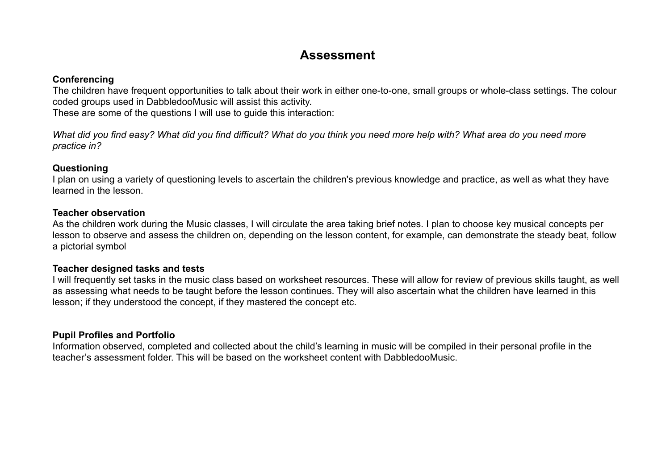# **Assessment**

# **Conferencing**

The children have frequent opportunities to talk about their work in either one-to-one, small groups or whole-class settings. The colour coded groups used in DabbledooMusic will assist this activity.

These are some of the questions I will use to guide this interaction:

*What did you find easy? What did you find difficult? What do you think you need more help with? What area do you need more practice in?* 

# **Questioning**

I plan on using a variety of questioning levels to ascertain the children's previous knowledge and practice, as well as what they have learned in the lesson.

# **Teacher observation**

As the children work during the Music classes, I will circulate the area taking brief notes. I plan to choose key musical concepts per lesson to observe and assess the children on, depending on the lesson content, for example, can demonstrate the steady beat, follow a pictorial symbol

# **Teacher designed tasks and tests**

I will frequently set tasks in the music class based on worksheet resources. These will allow for review of previous skills taught, as well as assessing what needs to be taught before the lesson continues. They will also ascertain what the children have learned in this lesson; if they understood the concept, if they mastered the concept etc.

# **Pupil Profiles and Portfolio**

Information observed, completed and collected about the child's learning in music will be compiled in their personal profile in the teacher's assessment folder. This will be based on the worksheet content with DabbledooMusic.